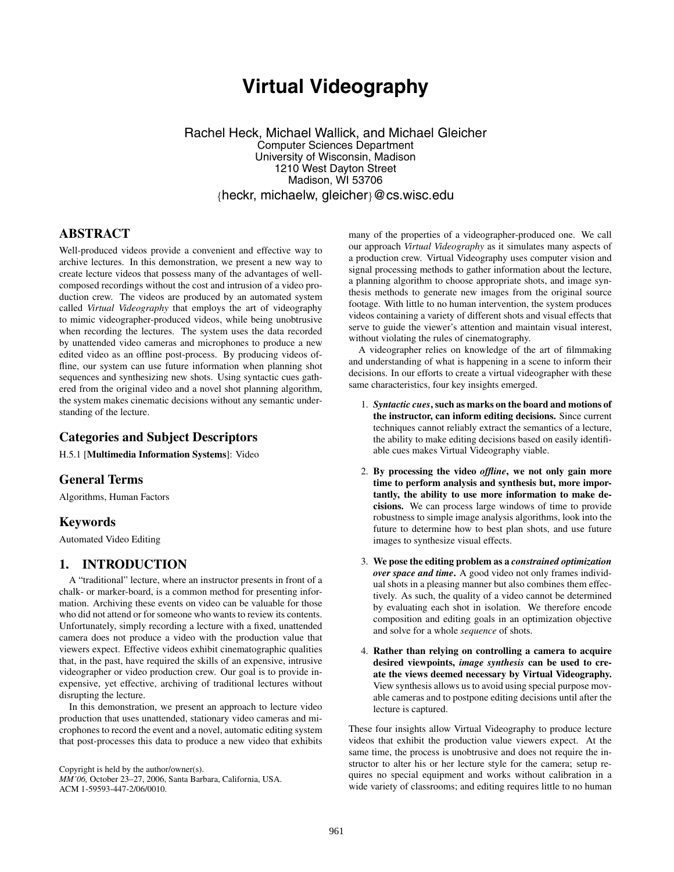# **Virtual Videography**

Rachel Heck, Michael Wallick, and Michael Gleicher Computer Sciences Department University of Wisconsin, Madison 1210 West Dayton Street Madison, WI 53706 *{*heckr, michaelw, gleicher*}*@cs.wisc.edu

# **ABSTRACT**

Well-produced videos provide a convenient and effective way to archive lectures. In this demonstration, we present a new way to create lecture videos that possess many of the advantages of wellcomposed recordings without the cost and intrusion of a video production crew. The videos are produced by an automated system called *Virtual Videography* that employs the art of videography to mimic videographer-produced videos, while being unobtrusive when recording the lectures. The system uses the data recorded by unattended video cameras and microphones to produce a new edited video as an offline post-process. By producing videos offline, our system can use future information when planning shot sequences and synthesizing new shots. Using syntactic cues gathered from the original video and a novel shot planning algorithm, the system makes cinematic decisions without any semantic understanding of the lecture.

# **Categories and Subject Descriptors**

H.5.1 [**Multimedia Information Systems**]: Video

## **General Terms**

Algorithms, Human Factors

#### **Keywords**

Automated Video Editing

# **1. INTRODUCTION**

A "traditional" lecture, where an instructor presents in front of a chalk- or marker-board, is a common method for presenting information. Archiving these events on video can be valuable for those who did not attend or for someone who wants to review its contents. Unfortunately, simply recording a lecture with a fixed, unattended camera does not produce a video with the production value that viewers expect. Effective videos exhibit cinematographic qualities that, in the past, have required the skills of an expensive, intrusive videographer or video production crew. Our goal is to provide inexpensive, yet effective, archiving of traditional lectures without disrupting the lecture.

In this demonstration, we present an approach to lecture video production that uses unattended, stationary video cameras and microphones to record the event and a novel, automatic editing system that post-processes this data to produce a new video that exhibits

Copyright is held by the author/owner(s). *MM'06,* October 23–27, 2006, Santa Barbara, California, USA.

ACM 1-59593-447-2/06/0010.

many of the properties of a videographer-produced one. We call our approach *Virtual Videography* as it simulates many aspects of a production crew. Virtual Videography uses computer vision and signal processing methods to gather information about the lecture, a planning algorithm to choose appropriate shots, and image synthesis methods to generate new images from the original source footage. With little to no human intervention, the system produces videos containing a variety of different shots and visual effects that serve to guide the viewer's attention and maintain visual interest, without violating the rules of cinematography.

A videographer relies on knowledge of the art of filmmaking and understanding of what is happening in a scene to inform their decisions. In our efforts to create a virtual videographer with these same characteristics, four key insights emerged.

- 1. *Syntactic cues***, such as marks on the board and motions of the instructor, can inform editing decisions.** Since current techniques cannot reliably extract the semantics of a lecture, the ability to make editing decisions based on easily identifiable cues makes Virtual Videography viable.
- 2. **By processing the video** *offline***, we not only gain more time to perform analysis and synthesis but, more importantly, the ability to use more information to make decisions.** We can process large windows of time to provide robustness to simple image analysis algorithms, look into the future to determine how to best plan shots, and use future images to synthesize visual effects.
- 3. **We pose the editing problem as a** *constrained optimization over space and time***.** A good video not only frames individual shots in a pleasing manner but also combines them effectively. As such, the quality of a video cannot be determined by evaluating each shot in isolation. We therefore encode composition and editing goals in an optimization objective and solve for a whole *sequence* of shots.
- 4. **Rather than relying on controlling a camera to acquire desired viewpoints,** *image synthesis* **can be used to create the views deemed necessary by Virtual Videography.** View synthesis allows us to avoid using special purpose movable cameras and to postpone editing decisions until after the lecture is captured.

These four insights allow Virtual Videography to produce lecture videos that exhibit the production value viewers expect. At the same time, the process is unobtrusive and does not require the instructor to alter his or her lecture style for the camera; setup requires no special equipment and works without calibration in a wide variety of classrooms; and editing requires little to no human